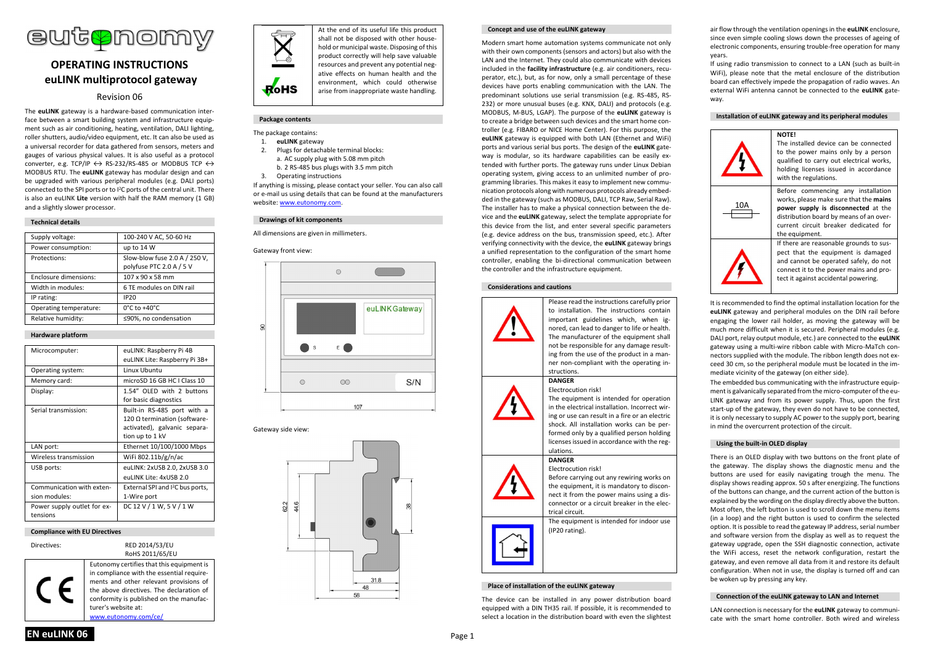

# **OPERATING INSTRUCTIONS euLINK multiprotocol gateway**

# Revision 06

The **euLINK** gateway is a hardware-based communication interface between a smart building system and infrastructure equipment such as air conditioning, heating, ventilation, DALI lighting, roller shutters, audio/video equipment, etc. It can also be used as a universal recorder for data gathered from sensors, meters and gauges of various physical values. It is also useful as a protocol converter, e.g. TCP/IP  $\leftrightarrow$  RS-232/RS-485 or MODBUS TCP  $\leftrightarrow$ MODBUS RTU. The **euLINK** gateway has modular design and can be upgraded with various peripheral modules (e.g. DALI ports) connected to the SPI ports or to I<sup>2</sup>C ports of the central unit. There is also an euLINK **Lite** version with half the RAM memory (1 GB) and a slightly slower processor.

# **Technical details**

| Supply voltage:        | 100-240 V AC, 50-60 Hz             |
|------------------------|------------------------------------|
| Power consumption:     | up to 14 W                         |
| Protections:           | Slow-blow fuse 2.0 A / 250 V,      |
|                        | polyfuse PTC 2.0 A / 5 V           |
| Enclosure dimensions:  | 107 x 90 x 58 mm                   |
| Width in modules:      | 6 TE modules on DIN rail           |
| IP rating:             | <b>IP20</b>                        |
| Operating temperature: | $0^{\circ}$ C to +40 $^{\circ}$ C. |
| Relative humidity:     | ≤90%, no condensation              |
|                        |                                    |

# **Hardware platform**

| Microcomputer:                             | euLINK: Raspberry Pi 4B                                                                                        |
|--------------------------------------------|----------------------------------------------------------------------------------------------------------------|
|                                            | euLINK Lite: Raspberry Pi 3B+                                                                                  |
| Operating system:                          | Linux Ubuntu                                                                                                   |
| Memory card:                               | microSD 16 GB HC LClass 10                                                                                     |
| Display:                                   | 1.54" OLED with 2 buttons<br>for basic diagnostics                                                             |
| Serial transmission:                       | Built-in RS-485 port with a<br>120 Ω termination (software-<br>activated), galvanic separa-<br>tion up to 1 kV |
| LAN port:                                  | Ethernet 10/100/1000 Mbps                                                                                      |
| Wireless transmission                      | WiFi 802.11b/g/n/ac                                                                                            |
| USB ports:                                 | euLINK: 2xUSB 2.0, 2xUSB 3.0                                                                                   |
|                                            | euLINK Lite: 4xUSB 2.0                                                                                         |
| Communication with exten-<br>sion modules: | External SPI and I <sup>2</sup> C bus ports,<br>1-Wire port                                                    |
| Power supply outlet for ex-<br>tensions    | DC 12 V / 1 W, 5 V / 1 W                                                                                       |

# **Compliance with EU Directives**

Directives: RED 2014/53/EU

RoHS 2011/65/EU Eutonomy certifies that this equipment is in compliance with the essential requirements and other relevant provisions of the above directives. The declaration of conformity is published on the manufacturer's website at: www.eutonomy.com/ce/



At the end of its useful life this product shall not be disposed with other household or municipal waste. Disposing of this product correctly will help save valuable resources and prevent any potential negative effects on human health and the environment, which could otherwise arise from inappropriate waste handling.

# **Package contents**

- The package contains:
- 1. **euLINK** gateway
- 2. Plugs for detachable terminal blocks: a. AC supply plug with 5.08 mm pitch b. 2 RS-485 bus plugs with 3.5 mm pitch
- 3. Operating instructions

If anything is missing, please contact your seller. You can also call or e-mail us using details that can be found at the manufacturers website: www.eutonomy.com.

# **Drawings of kit components**

All dimensions are given in millimeters.

Gateway front view:

 $\approx$ 



# Gateway side view:



### **Concept and use of the euLINK gateway**

Modern smart home automation systems communicate not only with their own components (sensors and actors) but also with the LAN and the Internet. They could also communicate with devices included in the **facility infrastructure** (e.g. air conditioners, recuperator, etc.), but, as for now, only a small percentage of these devices have ports enabling communication with the LAN. The predominant solutions use serial transmission (e.g. RS-485, RS-232) or more unusual buses (e.g. KNX, DALI) and protocols (e.g. MODBUS, M-BUS, LGAP). The purpose of the **euLINK** gateway is to create a bridge between such devices and the smart home controller (e.g. FIBARO or NICE Home Center). For this purpose, the **euLINK** gateway is equipped with both LAN (Ethernet and WiFi) ports and various serial bus ports. The design of the **euLINK** gateway is modular, so its hardware capabilities can be easily extended with further ports. The gateway runs under Linux Debian operating system, giving access to an unlimited number of programming libraries. This makes it easy to implement new communication protocols along with numerous protocols already embedded in the gateway (such as MODBUS, DALI, TCP Raw, Serial Raw). The installer has to make a physical connection between the device and the **euLINK** gateway, select the template appropriate for this device from the list, and enter several specific parameters (e.g. device address on the bus, transmission speed, etc.). After verifying connectivity with the device, the **euLINK** gateway brings a unified representation to the configuration of the smart home controller, enabling the bi-directional communication between the controller and the infrastructure equipment.

# **Considerations and cautions**



# **Place of installation of the euLINK gateway**

The device can be installed in any power distribution board equipped with a DIN TH35 rail. If possible, it is recommended to select a location in the distribution board with even the slightest

air flow through the ventilation openings in the **euLINK** enclosure, since even simple cooling slows down the processes of ageing of electronic components, ensuring trouble-free operation for many years.

If using radio transmission to connect to a LAN (such as built-in WiFi), please note that the metal enclosure of the distribution board can effectively impede the propagation of radio waves. An external WiFi antenna cannot be connected to the **euLINK** gateway.

# **Installation of euLINK gateway and its peripheral modules**



It is recommended to find the optimal installation location for the **euLINK** gateway and peripheral modules on the DIN rail before engaging the lower rail holder, as moving the gateway will be much more difficult when it is secured. Peripheral modules (e.g. DALI port, relay output module, etc.) are connected to the **euLINK** gateway using a multi-wire ribbon cable with Micro-MaTch connectors supplied with the module. The ribbon length does not exceed 30 cm, so the peripheral module must be located in the immediate vicinity of the gateway (on either side).

The embedded bus communicating with the infrastructure equipment is galvanically separated from the micro-computer of the eu-LINK gateway and from its power supply. Thus, upon the first start-up of the gateway, they even do not have to be connected, it is only necessary to supply AC power to the supply port, bearing in mind the overcurrent protection of the circuit.

# **Using the built-in OLED display**

There is an OLED display with two buttons on the front plate of the gateway. The display shows the diagnostic menu and the buttons are used for easily navigating trough the menu. The display shows reading approx. 50 s after energizing. The functions of the buttons can change, and the current action of the button is explained by the wording on the display directly above the button. Most often, the left button is used to scroll down the menu items (in a loop) and the right button is used to confirm the selected option. It is possible to read the gateway IP address, serial number and software version from the display as well as to request the gateway upgrade, open the SSH diagnostic connection, activate the WiFi access, reset the network configuration, restart the gateway, and even remove all data from it and restore its default configuration. When not in use, the display is turned off and can be woken up by pressing any key.

### **Connection of the euLINK gateway to LAN and Internet**

LAN connection is necessary for the **euLINK** gateway to communicate with the smart home controller. Both wired and wireless

**EN euLINK 06** Page 1